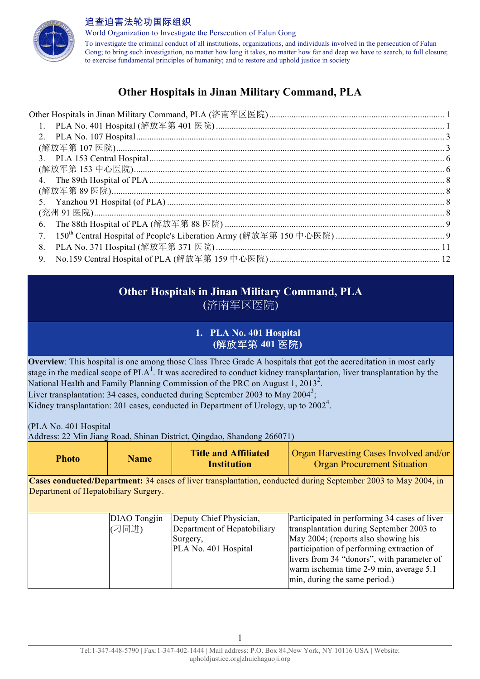

World Organization to Investigate the Persecution of Falun Gong To investigate the criminal conduct of all institutions, organizations, and individuals involved in the persecution of Falun Gong; to bring such investigation, no matter how long it takes, no matter how far and deep we have to search, to full closure; to exercise fundamental principles of humanity; and to restore and uphold justice in society

## **Other Hospitals in Jinan Military Command, PLA**

| 1. |  |
|----|--|
|    |  |
|    |  |
|    |  |
|    |  |
|    |  |
|    |  |
|    |  |
|    |  |
| 6. |  |
| 7. |  |
| 8. |  |
| 9. |  |

## **Other Hospitals in Jinan Military Command, PLA** (济南军区医院)

## **1. PLA No. 401 Hospital (**解放军第 **401** 医院**)**

**Overview**: This hospital is one among those Class Three Grade A hospitals that got the accreditation in most early stage in the medical scope of  $PLA<sup>1</sup>$ . It was accredited to conduct kidney transplantation, liver transplantation by the National Health and Family Planning Commission of the PRC on August 1, 2013<sup>2</sup>. Liver transplantation: 34 cases, conducted during September 2003 to May 2004<sup>3</sup>; Kidney transplantation: 201 cases, conducted in Department of Urology, up to 2002<sup>4</sup>.

(PLA No. 401 Hospital

Address: 22 Min Jiang Road, Shinan District, Qingdao, Shandong 266071)

| <b>Photo</b> | <b>Name</b> | <b>Title and Affiliated</b><br><b>Institution</b> | <b>Organ Harvesting Cases Involved and/or</b><br><b>Organ Procurement Situation</b> |
|--------------|-------------|---------------------------------------------------|-------------------------------------------------------------------------------------|
|--------------|-------------|---------------------------------------------------|-------------------------------------------------------------------------------------|

**Cases conducted/Department:** 34 cases of liver transplantation, conducted during September 2003 to May 2004, in Department of Hepatobiliary Surgery.

| DIAO Tongjin | Deputy Chief Physician,     | Participated in performing 34 cases of liver |
|--------------|-----------------------------|----------------------------------------------|
| (刁同进)        | Department of Hepatobiliary | transplantation during September 2003 to     |
|              | Surgery,                    | May 2004; (reports also showing his          |
|              | PLA No. 401 Hospital        | participation of performing extraction of    |
|              |                             | livers from 34 "donors", with parameter of   |
|              |                             | warm ischemia time 2-9 min, average 5.1      |
|              |                             | min, during the same period.)                |
|              |                             |                                              |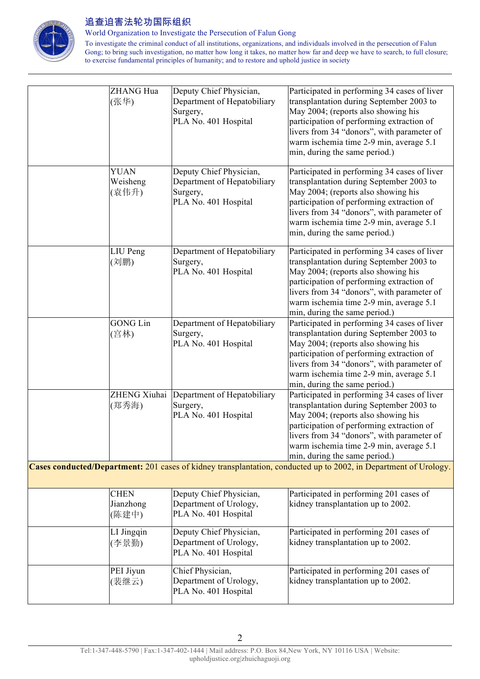

World Organization to Investigate the Persecution of Falun Gong

| ZHANG Hua<br>(张华)<br><b>YUAN</b>  | Deputy Chief Physician,<br>Department of Hepatobiliary<br>Surgery,<br>PLA No. 401 Hospital<br>Deputy Chief Physician, | Participated in performing 34 cases of liver<br>transplantation during September 2003 to<br>May 2004; (reports also showing his<br>participation of performing extraction of<br>livers from 34 "donors", with parameter of<br>warm ischemia time 2-9 min, average 5.1<br>min, during the same period.)<br>Participated in performing 34 cases of liver |
|-----------------------------------|-----------------------------------------------------------------------------------------------------------------------|--------------------------------------------------------------------------------------------------------------------------------------------------------------------------------------------------------------------------------------------------------------------------------------------------------------------------------------------------------|
| Weisheng<br>(袁伟升)                 | Department of Hepatobiliary<br>Surgery,<br>PLA No. 401 Hospital                                                       | transplantation during September 2003 to<br>May 2004; (reports also showing his<br>participation of performing extraction of<br>livers from 34 "donors", with parameter of<br>warm ischemia time 2-9 min, average 5.1<br>min, during the same period.)                                                                                                 |
| LIU Peng<br>(刘鹏)                  | Department of Hepatobiliary<br>Surgery,<br>PLA No. 401 Hospital                                                       | Participated in performing 34 cases of liver<br>transplantation during September 2003 to<br>May 2004; (reports also showing his<br>participation of performing extraction of<br>livers from 34 "donors", with parameter of<br>warm ischemia time 2-9 min, average 5.1<br>min, during the same period.)                                                 |
| <b>GONG Lin</b><br>(宫林)           | Department of Hepatobiliary<br>Surgery,<br>PLA No. 401 Hospital                                                       | Participated in performing 34 cases of liver<br>transplantation during September 2003 to<br>May 2004; (reports also showing his<br>participation of performing extraction of<br>livers from 34 "donors", with parameter of<br>warm ischemia time 2-9 min, average 5.1<br>min, during the same period.)                                                 |
| (郑秀海)                             | ZHENG Xiuhai Department of Hepatobiliary<br>Surgery,<br>PLA No. 401 Hospital                                          | Participated in performing 34 cases of liver<br>transplantation during September 2003 to<br>May 2004; (reports also showing his<br>participation of performing extraction of<br>livers from 34 "donors", with parameter of<br>warm ischemia time 2-9 min, average 5.1<br>min, during the same period.)                                                 |
|                                   |                                                                                                                       | Cases conducted/Department: 201 cases of kidney transplantation, conducted up to 2002, in Department of Urology.                                                                                                                                                                                                                                       |
| <b>CHEN</b><br>Jianzhong<br>(陈建中) | Deputy Chief Physician,<br>Department of Urology,<br>PLA No. 401 Hospital                                             | Participated in performing 201 cases of<br>kidney transplantation up to 2002.                                                                                                                                                                                                                                                                          |
| LI Jingqin<br>(李景勤)               | Deputy Chief Physician,<br>Department of Urology,<br>PLA No. 401 Hospital                                             | Participated in performing 201 cases of<br>kidney transplantation up to 2002.                                                                                                                                                                                                                                                                          |
| PEI Jiyun<br>(裴继云)                | Chief Physician,<br>Department of Urology,<br>PLA No. 401 Hospital                                                    | Participated in performing 201 cases of<br>kidney transplantation up to 2002.                                                                                                                                                                                                                                                                          |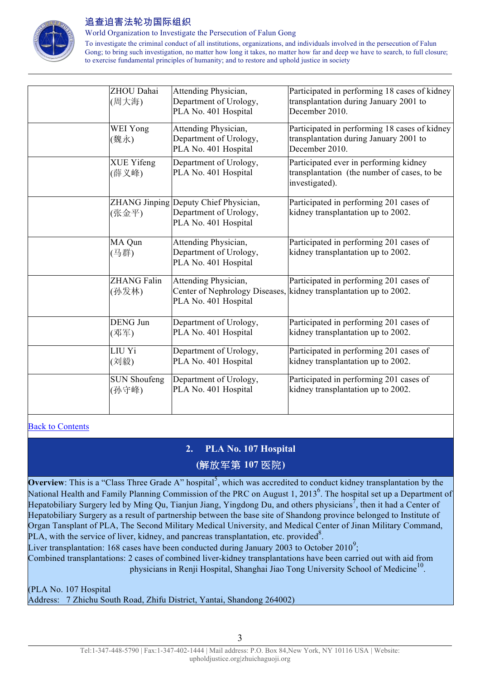

World Organization to Investigate the Persecution of Falun Gong

To investigate the criminal conduct of all institutions, organizations, and individuals involved in the persecution of Falun Gong; to bring such investigation, no matter how long it takes, no matter how far and deep we have to search, to full closure; to exercise fundamental principles of humanity; and to restore and uphold justice in society

| ZHOU Dahai<br>(周大海)          | Attending Physician,<br>Department of Urology,<br>PLA No. 401 Hospital                  | Participated in performing 18 cases of kidney<br>transplantation during January 2001 to<br>December 2010.    |
|------------------------------|-----------------------------------------------------------------------------------------|--------------------------------------------------------------------------------------------------------------|
| WEI Yong<br>(魏永)             | Attending Physician,<br>Department of Urology,<br>PLA No. 401 Hospital                  | Participated in performing 18 cases of kidney<br>transplantation during January 2001 to<br>December 2010.    |
| XUE Yifeng<br>(薛义峰)          | Department of Urology,<br>PLA No. 401 Hospital                                          | Participated ever in performing kidney<br>transplantation (the number of cases, to be<br>investigated).      |
| (张金平)                        | ZHANG Jinping Deputy Chief Physician,<br>Department of Urology,<br>PLA No. 401 Hospital | Participated in performing 201 cases of<br>kidney transplantation up to 2002.                                |
| MA Qun<br>(马群)               | Attending Physician,<br>Department of Urology,<br>PLA No. 401 Hospital                  | Participated in performing 201 cases of<br>kidney transplantation up to 2002.                                |
| <b>ZHANG Falin</b><br>(孙发林)  | Attending Physician,<br>PLA No. 401 Hospital                                            | Participated in performing 201 cases of<br>Center of Nephrology Diseases, kidney transplantation up to 2002. |
| <b>DENG Jun</b><br>(邓军)      | Department of Urology,<br>PLA No. 401 Hospital                                          | Participated in performing 201 cases of<br>kidney transplantation up to 2002.                                |
| LIU Yi<br>(刘毅)               | Department of Urology,<br>PLA No. 401 Hospital                                          | Participated in performing 201 cases of<br>kidney transplantation up to 2002.                                |
| <b>SUN Shoufeng</b><br>(孙守峰) | Department of Urology,<br>PLA No. 401 Hospital                                          | Participated in performing 201 cases of<br>kidney transplantation up to 2002.                                |

#### Back to Contents

## **2. PLA No. 107 Hospital (**解放军第 **107** 医院**)**

**Overview**: This is a "Class Three Grade A" hospital<sup>5</sup>, which was accredited to conduct kidney transplantation by the National Health and Family Planning Commission of the PRC on August 1, 2013<sup>6</sup>. The hospital set up a Department of Hepatobiliary Surgery led by Ming Qu, Tianjun Jiang, Yingdong Du, and others physicians<sup>7</sup>, then it had a Center of Hepatobiliary Surgery as a result of partnership between the base site of Shandong province belonged to Institute of Organ Tansplant of PLA, The Second Military Medical University, and Medical Center of Jinan Military Command, PLA, with the service of liver, kidney, and pancreas transplantation, etc. provided<sup>8</sup>.

Liver transplantation: 168 cases have been conducted during January 2003 to October 2010<sup>9</sup>;

Combined transplantations: 2 cases of combined liver-kidney transplantations have been carried out with aid from physicians in Renji Hospital, Shanghai Jiao Tong University School of Medicine<sup>10</sup>.

(PLA No. 107 Hospital

Address: 7 Zhichu South Road, Zhifu District, Yantai, Shandong 264002)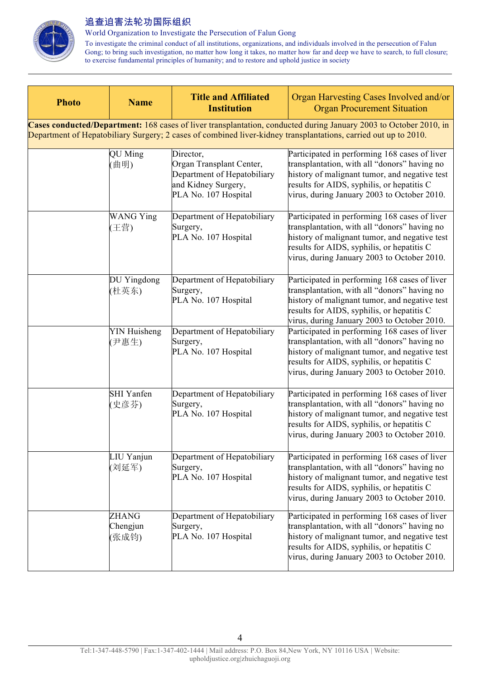

World Organization to Investigate the Persecution of Falun Gong

| <b>Photo</b>                                                                                                                                                                                                                         | <b>Name</b>                       | <b>Title and Affiliated</b><br><b>Institution</b>                                                                   | Organ Harvesting Cases Involved and/or<br><b>Organ Procurement Situation</b>                                                                                                                                                                |  |
|--------------------------------------------------------------------------------------------------------------------------------------------------------------------------------------------------------------------------------------|-----------------------------------|---------------------------------------------------------------------------------------------------------------------|---------------------------------------------------------------------------------------------------------------------------------------------------------------------------------------------------------------------------------------------|--|
| Cases conducted/Department: 168 cases of liver transplantation, conducted during January 2003 to October 2010, in<br>Department of Hepatobiliary Surgery; 2 cases of combined liver-kidney transplantations, carried out up to 2010. |                                   |                                                                                                                     |                                                                                                                                                                                                                                             |  |
|                                                                                                                                                                                                                                      | QU Ming<br>(曲明)                   | Director,<br>Organ Transplant Center,<br>Department of Hepatobiliary<br>and Kidney Surgery,<br>PLA No. 107 Hospital | Participated in performing 168 cases of liver<br>transplantation, with all "donors" having no<br>history of malignant tumor, and negative test<br>results for AIDS, syphilis, or hepatitis C<br>virus, during January 2003 to October 2010. |  |
|                                                                                                                                                                                                                                      | <b>WANG Ying</b><br>(王营)          | Department of Hepatobiliary<br>Surgery,<br>PLA No. 107 Hospital                                                     | Participated in performing 168 cases of liver<br>transplantation, with all "donors" having no<br>history of malignant tumor, and negative test<br>results for AIDS, syphilis, or hepatitis C<br>virus, during January 2003 to October 2010. |  |
|                                                                                                                                                                                                                                      | DU Yingdong<br>(杜英东)              | Department of Hepatobiliary<br>Surgery,<br>PLA No. 107 Hospital                                                     | Participated in performing 168 cases of liver<br>transplantation, with all "donors" having no<br>history of malignant tumor, and negative test<br>results for AIDS, syphilis, or hepatitis C<br>virus, during January 2003 to October 2010. |  |
|                                                                                                                                                                                                                                      | <b>YIN Huisheng</b><br>(尹惠生)      | Department of Hepatobiliary<br>Surgery,<br>PLA No. 107 Hospital                                                     | Participated in performing 168 cases of liver<br>transplantation, with all "donors" having no<br>history of malignant tumor, and negative test<br>results for AIDS, syphilis, or hepatitis C<br>virus, during January 2003 to October 2010. |  |
|                                                                                                                                                                                                                                      | <b>SHI</b> Yanfen<br>(史彦芬)        | Department of Hepatobiliary<br>Surgery,<br>PLA No. 107 Hospital                                                     | Participated in performing 168 cases of liver<br>transplantation, with all "donors" having no<br>history of malignant tumor, and negative test<br>results for AIDS, syphilis, or hepatitis C<br>virus, during January 2003 to October 2010. |  |
|                                                                                                                                                                                                                                      | LIU Yanjun<br>(刘延军)               | Department of Hepatobiliary<br>Surgery,<br>PLA No. 107 Hospital                                                     | Participated in performing 168 cases of liver<br>transplantation, with all "donors" having no<br>history of malignant tumor, and negative test<br>results for AIDS, syphilis, or hepatitis C<br>virus, during January 2003 to October 2010. |  |
|                                                                                                                                                                                                                                      | <b>ZHANG</b><br>Chengjun<br>(张成钧) | Department of Hepatobiliary<br>Surgery,<br>PLA No. 107 Hospital                                                     | Participated in performing 168 cases of liver<br>transplantation, with all "donors" having no<br>history of malignant tumor, and negative test<br>results for AIDS, syphilis, or hepatitis C<br>virus, during January 2003 to October 2010. |  |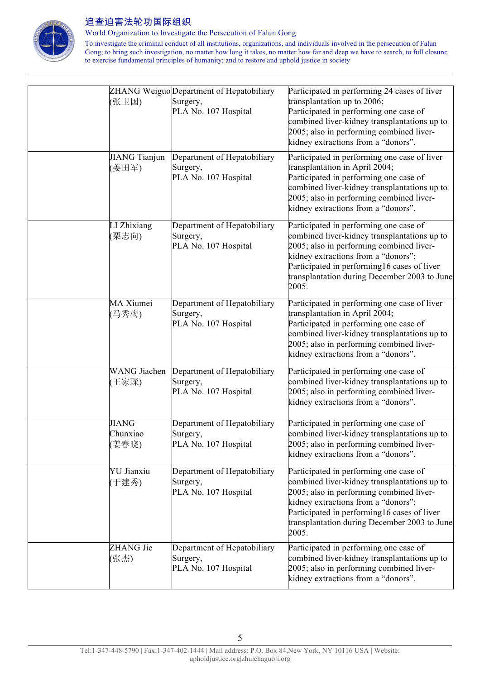

World Organization to Investigate the Persecution of Falun Gong

|                                   | ZHANG Weiguo Department of Hepatobiliary                        | Participated in performing 24 cases of liver                                                                                                                                                                                                                                      |
|-----------------------------------|-----------------------------------------------------------------|-----------------------------------------------------------------------------------------------------------------------------------------------------------------------------------------------------------------------------------------------------------------------------------|
| (张卫国)                             | Surgery,<br>PLA No. 107 Hospital                                | transplantation up to 2006;<br>Participated in performing one case of<br>combined liver-kidney transplantations up to<br>2005; also in performing combined liver-<br>kidney extractions from a "donors".                                                                          |
| JIANG Tianjun<br>(姜田军)            | Department of Hepatobiliary<br>Surgery,<br>PLA No. 107 Hospital | Participated in performing one case of liver<br>transplantation in April 2004;<br>Participated in performing one case of<br>combined liver-kidney transplantations up to<br>2005; also in performing combined liver-<br>kidney extractions from a "donors".                       |
| LI Zhixiang<br>(栗志向)              | Department of Hepatobiliary<br>Surgery,<br>PLA No. 107 Hospital | Participated in performing one case of<br>combined liver-kidney transplantations up to<br>2005; also in performing combined liver-<br>kidney extractions from a "donors";<br>Participated in performing16 cases of liver<br>transplantation during December 2003 to June<br>2005. |
| MA Xiumei<br>(马秀梅)                | Department of Hepatobiliary<br>Surgery,<br>PLA No. 107 Hospital | Participated in performing one case of liver<br>transplantation in April 2004;<br>Participated in performing one case of<br>combined liver-kidney transplantations up to<br>2005; also in performing combined liver-<br>kidney extractions from a "donors".                       |
| <b>WANG</b> Jiachen<br>(王家琛)      | Department of Hepatobiliary<br>Surgery,<br>PLA No. 107 Hospital | Participated in performing one case of<br>combined liver-kidney transplantations up to<br>2005; also in performing combined liver-<br>kidney extractions from a "donors".                                                                                                         |
| <b>JIANG</b><br>Chunxiao<br>(姜春晓) | Department of Hepatobiliary<br>Surgery,<br>PLA No. 107 Hospital | Participated in performing one case of<br>combined liver-kidney transplantations up to<br>2005; also in performing combined liver-<br>kidney extractions from a "donors".                                                                                                         |
| <b>YU</b> Jianxiu<br>(于建秀)        | Department of Hepatobiliary<br>Surgery,<br>PLA No. 107 Hospital | Participated in performing one case of<br>combined liver-kidney transplantations up to<br>2005; also in performing combined liver-<br>kidney extractions from a "donors";<br>Participated in performing16 cases of liver<br>transplantation during December 2003 to June<br>2005. |
| ZHANG Jie<br>(张杰)                 | Department of Hepatobiliary<br>Surgery,<br>PLA No. 107 Hospital | Participated in performing one case of<br>combined liver-kidney transplantations up to<br>2005; also in performing combined liver-<br>kidney extractions from a "donors".                                                                                                         |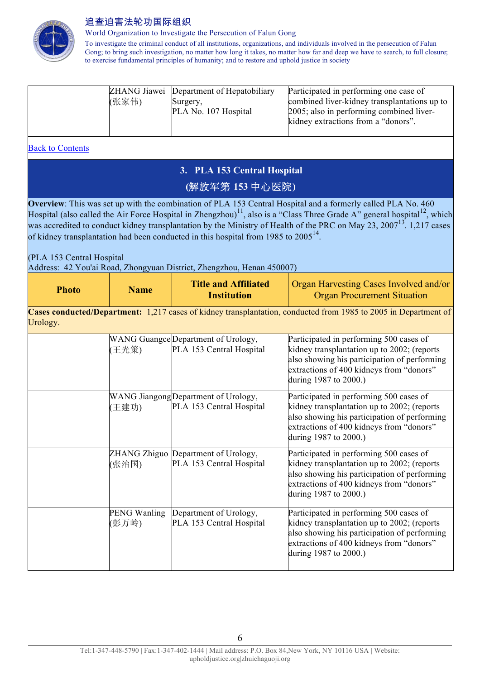

World Organization to Investigate the Persecution of Falun Gong

To investigate the criminal conduct of all institutions, organizations, and individuals involved in the persecution of Falun Gong; to bring such investigation, no matter how long it takes, no matter how far and deep we have to search, to full closure; to exercise fundamental principles of humanity; and to restore and uphold justice in society

|       | ZHANG Jiawei Department of Hepatobiliary | Participated in performing one case of       |
|-------|------------------------------------------|----------------------------------------------|
| (张家伟) | Surgery,                                 | combined liver-kidney transplantations up to |
|       | PLA No. 107 Hospital                     | 2005; also in performing combined liver-     |
|       |                                          | kidney extractions from a "donors".          |
|       |                                          |                                              |

Back to Contents

# **3. PLA 153 Central Hospital (**解放军第 **153** 中心医院**)**

**Overview**: This was set up with the combination of PLA 153 Central Hospital and a formerly called PLA No. 460 Hospital (also called the Air Force Hospital in Zhengzhou)<sup>11</sup>, also is a "Class Three Grade A" general hospital<sup>12</sup>, which was accredited to conduct kidney transplantation by the Ministry of Health of the PRC on May 23, 2007<sup>13</sup>. 1,217 cases of kidney transplantation had been conducted in this hospital from 1985 to 2005<sup>14</sup>.

(PLA 153 Central Hospital

Address: 42 You'ai Road, Zhongyuan District, Zhengzhou, Henan 450007)

| <b>Photo</b>                                                                                                                | <b>Name</b> | <b>Title and Affiliated</b><br><b>Institution</b> | <b>Organ Harvesting Cases Involved and/or</b><br><b>Organ Procurement Situation</b> |  |
|-----------------------------------------------------------------------------------------------------------------------------|-------------|---------------------------------------------------|-------------------------------------------------------------------------------------|--|
| Cases conducted/Department: 1,217 cases of kidney transplantation, conducted from 1985 to 2005 in Department of<br>Urology. |             |                                                   |                                                                                     |  |
|                                                                                                                             |             | WANG Guangce Department of Urology,               | Participated in performing 500 cases of                                             |  |
|                                                                                                                             | (王光策)       | PLA 153 Central Hospital                          | kidney transplantation up to 2002; (reports                                         |  |
|                                                                                                                             |             |                                                   | also showing his participation of performing                                        |  |

|                       |                                                                  | also showing his participation of performing<br>extractions of 400 kidneys from "donors"<br>during 1987 to 2000.)                                                                                           |
|-----------------------|------------------------------------------------------------------|-------------------------------------------------------------------------------------------------------------------------------------------------------------------------------------------------------------|
| (王建功)                 | WANG Jiangong Department of Urology,<br>PLA 153 Central Hospital | Participated in performing 500 cases of<br>kidney transplantation up to 2002; (reports<br>also showing his participation of performing<br>extractions of 400 kidneys from "donors"<br>during 1987 to 2000.) |
| (张治国)                 | ZHANG Zhiguo Department of Urology,<br>PLA 153 Central Hospital  | Participated in performing 500 cases of<br>kidney transplantation up to 2002; (reports<br>also showing his participation of performing<br>extractions of 400 kidneys from "donors"<br>during 1987 to 2000.) |
| PENG Wanling<br>(彭万岭) | Department of Urology,<br>PLA 153 Central Hospital               | Participated in performing 500 cases of<br>kidney transplantation up to 2002; (reports<br>also showing his participation of performing<br>extractions of 400 kidneys from "donors"<br>during 1987 to 2000.) |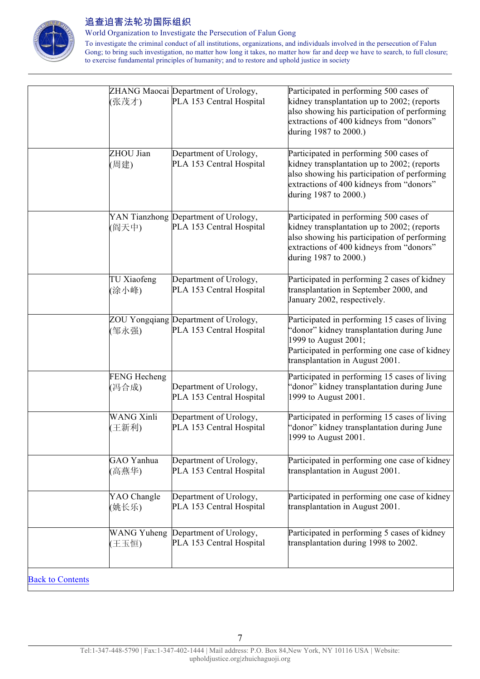

World Organization to Investigate the Persecution of Falun Gong

| (张茂才)                        | ZHANG Maocai Department of Urology,<br>PLA 153 Central Hospital  | Participated in performing 500 cases of<br>kidney transplantation up to 2002; (reports<br>also showing his participation of performing<br>extractions of 400 kidneys from "donors"<br>during 1987 to 2000.) |
|------------------------------|------------------------------------------------------------------|-------------------------------------------------------------------------------------------------------------------------------------------------------------------------------------------------------------|
| ZHOU Jian<br>(周建)            | Department of Urology,<br>PLA 153 Central Hospital               | Participated in performing 500 cases of<br>kidney transplantation up to 2002; (reports<br>also showing his participation of performing<br>extractions of 400 kidneys from "donors"<br>during 1987 to 2000.) |
| (阎天中)                        | YAN Tianzhong Department of Urology,<br>PLA 153 Central Hospital | Participated in performing 500 cases of<br>kidney transplantation up to 2002; (reports<br>also showing his participation of performing<br>extractions of 400 kidneys from "donors"<br>during 1987 to 2000.) |
| TU Xiaofeng<br>(涂小峰)         | Department of Urology,<br>PLA 153 Central Hospital               | Participated in performing 2 cases of kidney<br>transplantation in September 2000, and<br>January 2002, respectively.                                                                                       |
| (邹永强)                        | ZOU Yongqiang Department of Urology,<br>PLA 153 Central Hospital | Participated in performing 15 cases of living<br>'donor" kidney transplantation during June<br>1999 to August 2001;<br>Participated in performing one case of kidney<br>transplantation in August 2001.     |
| <b>FENG Hecheng</b><br>(冯合成) | Department of Urology,<br>PLA 153 Central Hospital               | Participated in performing 15 cases of living<br>'donor" kidney transplantation during June<br>1999 to August 2001.                                                                                         |
| <b>WANG Xinli</b><br>王新利)    | Department of Urology,<br>PLA 153 Central Hospital               | Participated in performing 15 cases of living<br>'donor" kidney transplantation during June<br>1999 to August 2001.                                                                                         |
| GAO Yanhua<br>(高燕华)          | Department of Urology,<br>PLA 153 Central Hospital               | Participated in performing one case of kidney<br>transplantation in August 2001.                                                                                                                            |
| YAO Changle<br>(姚长乐)         | Department of Urology,<br>PLA 153 Central Hospital               | Participated in performing one case of kidney<br>transplantation in August 2001.                                                                                                                            |
| <b>WANG Yuheng</b><br>(王玉恒)  | Department of Urology,<br>PLA 153 Central Hospital               | Participated in performing 5 cases of kidney<br>transplantation during 1998 to 2002.                                                                                                                        |
| <b>Back to Contents</b>      |                                                                  |                                                                                                                                                                                                             |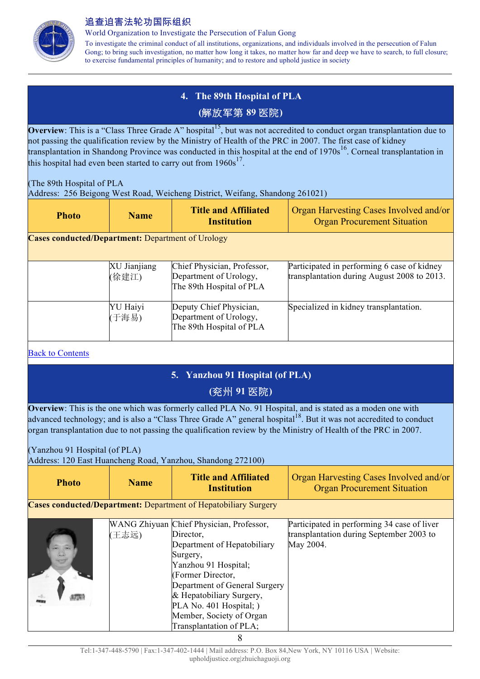

World Organization to Investigate the Persecution of Falun Gong

To investigate the criminal conduct of all institutions, organizations, and individuals involved in the persecution of Falun Gong; to bring such investigation, no matter how long it takes, no matter how far and deep we have to search, to full closure; to exercise fundamental principles of humanity; and to restore and uphold justice in society

# **4. The 89th Hospital of PLA (**解放军第 **89** 医院**)**

**Overview**: This is a "Class Three Grade A" hospital<sup>15</sup>, but was not accredited to conduct organ transplantation due to not passing the qualification review by the Ministry of Health of the PRC in 2007. The first case of kidney transplantation in Shandong Province was conducted in this hospital at the end of 1970s<sup>16</sup>. Corneal transplantation in this hospital had even been started to carry out from  $1960s^{17}$ .

(The 89th Hospital of PLA Address: 256 Beigong West Road, Weicheng District, Weifang, Shandong 261021)

| <b>Photo</b>                                             | <b>Name</b>           | <b>Title and Affiliated</b><br><b>Institution</b>                                 | <b>Organ Harvesting Cases Involved and/or</b><br><b>Organ Procurement Situation</b>        |  |
|----------------------------------------------------------|-----------------------|-----------------------------------------------------------------------------------|--------------------------------------------------------------------------------------------|--|
| <b>Cases conducted/Department: Department of Urology</b> |                       |                                                                                   |                                                                                            |  |
|                                                          | XU Jianjiang<br>(徐建江) | Chief Physician, Professor,<br>Department of Urology,<br>The 89th Hospital of PLA | Participated in performing 6 case of kidney<br>transplantation during August 2008 to 2013. |  |

Specialized in kidney transplantation.

Deputy Chief Physician, Department of Urology, The 89th Hospital of PLA

| <b>Back to Contents</b> |
|-------------------------|
|                         |

## **5. Yanzhou 91 Hospital (of PLA) (**兖州 **91** 医院**)**

**Overview**: This is the one which was formerly called PLA No. 91 Hospital, and is stated as a moden one with advanced technology; and is also a "Class Three Grade A" general hospital<sup>18</sup>. But it was not accredited to conduct organ transplantation due to not passing the qualification review by the Ministry of Health of the PRC in 2007.

## (Yanzhou 91 Hospital (of PLA)

Address: 120 East Huancheng Road, Yanzhou, Shandong 272100)

YU Haiyi (于海易)

| <b>Photo</b> | <b>Name</b> | <b>Title and Affiliated</b><br>Institution                                                                                                                                                                                                                                                   | Organ Harvesting Cases Involved and/or<br><b>Organ Procurement Situation</b>                         |
|--------------|-------------|----------------------------------------------------------------------------------------------------------------------------------------------------------------------------------------------------------------------------------------------------------------------------------------------|------------------------------------------------------------------------------------------------------|
|              |             | <b>Cases conducted/Department:</b> Department of Hepatobiliary Surgery                                                                                                                                                                                                                       |                                                                                                      |
|              | (王志远)       | WANG Zhiyuan Chief Physician, Professor,<br>Director,<br>Department of Hepatobiliary<br>Surgery,<br>Yanzhou 91 Hospital;<br>(Former Director,<br>Department of General Surgery<br>& Hepatobiliary Surgery,<br>PLA No. 401 Hospital; )<br>Member, Society of Organ<br>Transplantation of PLA; | Participated in performing 34 case of liver<br>transplantation during September 2003 to<br>May 2004. |

8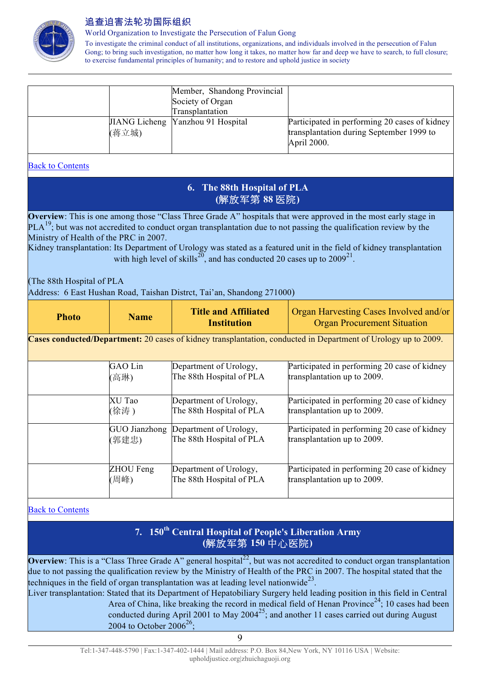

World Organization to Investigate the Persecution of Falun Gong

To investigate the criminal conduct of all institutions, organizations, and individuals involved in the persecution of Falun Gong; to bring such investigation, no matter how long it takes, no matter how far and deep we have to search, to full closure; to exercise fundamental principles of humanity; and to restore and uphold justice in society

|       | Member, Shandong Provincial<br>Society of Organ<br>Transplantation |                                                                                                          |
|-------|--------------------------------------------------------------------|----------------------------------------------------------------------------------------------------------|
| (蒋立城) | JIANG Licheng Yanzhou 91 Hospital                                  | Participated in performing 20 cases of kidney<br>transplantation during September 1999 to<br>April 2000. |

#### Back to Contents

## **6. The 88th Hospital of PLA (**解放军第 **88** 医院**)**

**Overview**: This is one among those "Class Three Grade A" hospitals that were approved in the most early stage in  $PLA<sup>19</sup>$ ; but was not accredited to conduct organ transplantation due to not passing the qualification review by the Ministry of Health of the PRC in 2007.

Kidney transplantation: Its Department of Urology was stated as a featured unit in the field of kidney transplantation with high level of skills<sup>20</sup>, and has conducted 20 cases up to  $2009^{21}$ .

(The 88th Hospital of PLA Address: 6 East Hushan Road, Taishan Distrct, Tai'an, Shandong 271000)

| <b>Photo</b>                                                                                                   | <b>Name</b>   | <b>Title and Affiliated</b><br><b>Institution</b> | Organ Harvesting Cases Involved and/or<br><b>Organ Procurement Situation</b> |
|----------------------------------------------------------------------------------------------------------------|---------------|---------------------------------------------------|------------------------------------------------------------------------------|
| Cases conducted/Department: 20 cases of kidney transplantation, conducted in Department of Urology up to 2009. |               |                                                   |                                                                              |
|                                                                                                                | GAO Lin       | Department of Urology,                            | Participated in performing 20 case of kidney                                 |
|                                                                                                                | (高琳)          | The 88th Hospital of PLA                          | transplantation up to 2009.                                                  |
|                                                                                                                | XU Tao        | Department of Urology,                            | Participated in performing 20 case of kidney                                 |
|                                                                                                                | (徐涛)          | The 88th Hospital of PLA                          | transplantation up to 2009.                                                  |
|                                                                                                                | GUO Jianzhong | Department of Urology,                            | Participated in performing 20 case of kidney                                 |
|                                                                                                                | (郭建忠)         | The 88th Hospital of PLA                          | transplantation up to 2009.                                                  |
|                                                                                                                | ZHOU Feng     | Department of Urology,                            | Participated in performing 20 case of kidney                                 |
|                                                                                                                | (周峰)          | The 88th Hospital of PLA                          | transplantation up to 2009.                                                  |

#### Back to Contents

## **7. 150th Central Hospital of People's Liberation Army (**解放军第 **150** 中心医院**)**

**Overview**: This is a "Class Three Grade A" general hospital<sup>22</sup>, but was not accredited to conduct organ transplantation due to not passing the qualification review by the Ministry of Health of the PRC in 2007. The hospital stated that the techniques in the field of organ transplantation was at leading level nationwide<sup>23</sup>.

Liver transplantation: Stated that its Department of Hepatobiliary Surgery held leading position in this field in Central Area of China, like breaking the record in medical field of Henan Province<sup>24</sup>; 10 cases had been conducted during April 2001 to May  $2004^{25}$ ; and another 11 cases carried out during August 2004 to October 2006<sup>26</sup>;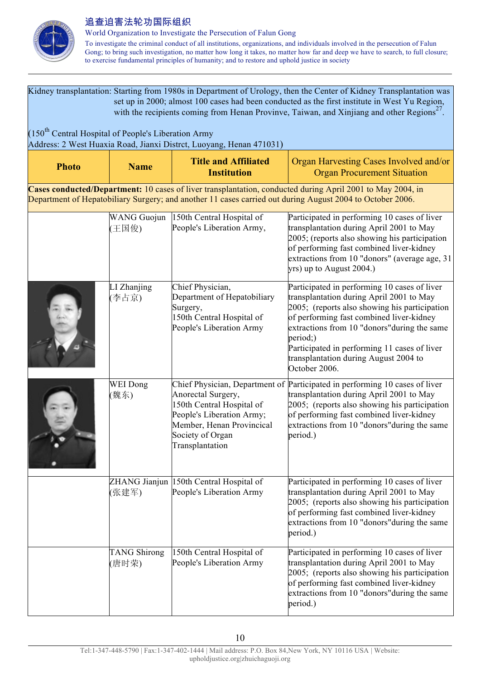

| Kidney transplantation: Starting from 1980s in Department of Urology, then the Center of Kidney Transplantation was<br>set up in 2000; almost 100 cases had been conducted as the first institute in West Yu Region,<br>with the recipients coming from Henan Provinve, Taiwan, and Xinjiang and other Regions <sup>27</sup> . |                              |                                                                                                                                                  |                                                                                                                                                                                                                                                                                                                                                             |  |
|--------------------------------------------------------------------------------------------------------------------------------------------------------------------------------------------------------------------------------------------------------------------------------------------------------------------------------|------------------------------|--------------------------------------------------------------------------------------------------------------------------------------------------|-------------------------------------------------------------------------------------------------------------------------------------------------------------------------------------------------------------------------------------------------------------------------------------------------------------------------------------------------------------|--|
| $(150th$ Central Hospital of People's Liberation Army<br>Address: 2 West Huaxia Road, Jianxi Distrct, Luoyang, Henan 471031)                                                                                                                                                                                                   |                              |                                                                                                                                                  |                                                                                                                                                                                                                                                                                                                                                             |  |
| <b>Photo</b>                                                                                                                                                                                                                                                                                                                   | <b>Name</b>                  | <b>Title and Affiliated</b><br><b>Institution</b>                                                                                                | Organ Harvesting Cases Involved and/or<br><b>Organ Procurement Situation</b>                                                                                                                                                                                                                                                                                |  |
|                                                                                                                                                                                                                                                                                                                                |                              |                                                                                                                                                  | Cases conducted/Department: 10 cases of liver transplantation, conducted during April 2001 to May 2004, in<br>Department of Hepatobiliary Surgery; and another 11 cases carried out during August 2004 to October 2006.                                                                                                                                     |  |
|                                                                                                                                                                                                                                                                                                                                | <b>WANG Guojun</b><br>(王国俊)  | 150th Central Hospital of<br>People's Liberation Army,                                                                                           | Participated in performing 10 cases of liver<br>transplantation during April 2001 to May<br>2005; (reports also showing his participation<br>of performing fast combined liver-kidney<br>extractions from 10 "donors" (average age, 31<br>yrs) up to August 2004.)                                                                                          |  |
|                                                                                                                                                                                                                                                                                                                                | LI Zhanjing<br>(李占京)         | Chief Physician,<br>Department of Hepatobiliary<br>Surgery,<br>150th Central Hospital of<br>People's Liberation Army                             | Participated in performing 10 cases of liver<br>transplantation during April 2001 to May<br>2005; (reports also showing his participation<br>of performing fast combined liver-kidney<br>extractions from 10 "donors" during the same<br>period;)<br>Participated in performing 11 cases of liver<br>transplantation during August 2004 to<br>October 2006. |  |
|                                                                                                                                                                                                                                                                                                                                | <b>WEI</b> Dong<br>(魏东)      | Anorectal Surgery,<br>150th Central Hospital of<br>People's Liberation Army;<br>Member, Henan Provincical<br>Society of Organ<br>Transplantation | Chief Physician, Department of Participated in performing 10 cases of liver<br>transplantation during April 2001 to May<br>2005; (reports also showing his participation<br>of performing fast combined liver-kidney<br>extractions from 10 "donors" during the same<br>period.)                                                                            |  |
|                                                                                                                                                                                                                                                                                                                                | (张建军)                        | ZHANG Jianjun 150th Central Hospital of<br>People's Liberation Army                                                                              | Participated in performing 10 cases of liver<br>transplantation during April 2001 to May<br>2005; (reports also showing his participation<br>of performing fast combined liver-kidney<br>extractions from 10 "donors" during the same<br>period.)                                                                                                           |  |
|                                                                                                                                                                                                                                                                                                                                | <b>TANG Shirong</b><br>(唐时荣) | 150th Central Hospital of<br>People's Liberation Army                                                                                            | Participated in performing 10 cases of liver<br>transplantation during April 2001 to May<br>2005; (reports also showing his participation<br>of performing fast combined liver-kidney<br>extractions from 10 "donors" during the same<br>period.)                                                                                                           |  |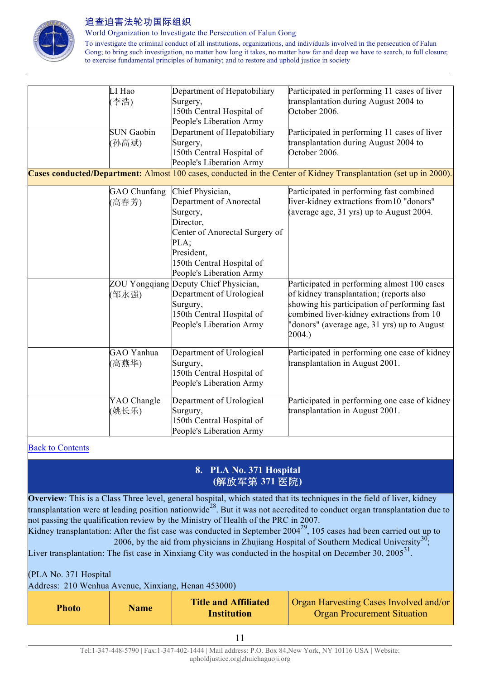

World Organization to Investigate the Persecution of Falun Gong

To investigate the criminal conduct of all institutions, organizations, and individuals involved in the persecution of Falun Gong; to bring such investigation, no matter how long it takes, no matter how far and deep we have to search, to full closure; to exercise fundamental principles of humanity; and to restore and uphold justice in society

| LI Hao<br>李浩)<br><b>SUN Gaobin</b><br>(孙高斌) | Department of Hepatobiliary<br>Surgery,<br>150th Central Hospital of<br>People's Liberation Army<br>Department of Hepatobiliary<br>Surgery,<br>150th Central Hospital of<br>People's Liberation Army | Participated in performing 11 cases of liver<br>transplantation during August 2004 to<br>October 2006.<br>Participated in performing 11 cases of liver<br>transplantation during August 2004 to<br>October 2006.<br>Cases conducted/Department: Almost 100 cases, conducted in the Center of Kidney Transplantation (set up in 2000). |
|---------------------------------------------|------------------------------------------------------------------------------------------------------------------------------------------------------------------------------------------------------|---------------------------------------------------------------------------------------------------------------------------------------------------------------------------------------------------------------------------------------------------------------------------------------------------------------------------------------|
| GAO Chunfang<br>(高春芳)                       | Chief Physician,<br>Department of Anorectal<br>Surgery,<br>Director,<br>Center of Anorectal Surgery of<br>PLA;<br>President,<br>150th Central Hospital of<br>People's Liberation Army                | Participated in performing fast combined<br>liver-kidney extractions from 10 "donors"<br>(average age, $31$ yrs) up to August 2004.                                                                                                                                                                                                   |
| (邹永强)                                       | ZOU Yongqiang Deputy Chief Physician,<br>Department of Urological<br>Surgury,<br>150th Central Hospital of<br>People's Liberation Army                                                               | Participated in performing almost 100 cases<br>of kidney transplantation; (reports also<br>showing his participation of performing fast<br>combined liver-kidney extractions from 10<br>'donors" (average age, 31 yrs) up to August<br>2004.)                                                                                         |
| GAO Yanhua<br>(高燕华)                         | Department of Urological<br>Surgury,<br>150th Central Hospital of<br>People's Liberation Army                                                                                                        | Participated in performing one case of kidney<br>transplantation in August 2001.                                                                                                                                                                                                                                                      |
| YAO Changle<br>(姚长乐)                        | Department of Urological<br>Surgury,<br>150th Central Hospital of<br>People's Liberation Army                                                                                                        | Participated in performing one case of kidney<br>transplantation in August 2001.                                                                                                                                                                                                                                                      |

#### Back to Contents

## **8. PLA No. 371 Hospital (**解放军第 **371** 医院**)**

**Overview**: This is a Class Three level, general hospital, which stated that its techniques in the field of liver, kidney transplantation were at leading position nationwide<sup>28</sup>. But it was not accredited to conduct organ transplantation due to not passing the qualification review by the Ministry of Health of the PRC in 2007.

Kidney transplantation: After the fist case was conducted in September 2004<sup>29</sup>, 105 cases had been carried out up to 2006, by the aid from physicians in Zhujiang Hospital of Southern Medical University<sup>30</sup>;

Liver transplantation: The fist case in Xinxiang City was conducted in the hospital on December 30, 2005<sup>31</sup>.

(PLA No. 371 Hospital

Address: 210 Wenhua Avenue, Xinxiang, Henan 453000)

| <b>Photo</b> | <b>Name</b> | <b>Title and Affiliated</b><br><b>Institution</b> | Organ Harvesting Cases Involved and/or<br><b>Organ Procurement Situation</b> |
|--------------|-------------|---------------------------------------------------|------------------------------------------------------------------------------|
|--------------|-------------|---------------------------------------------------|------------------------------------------------------------------------------|

11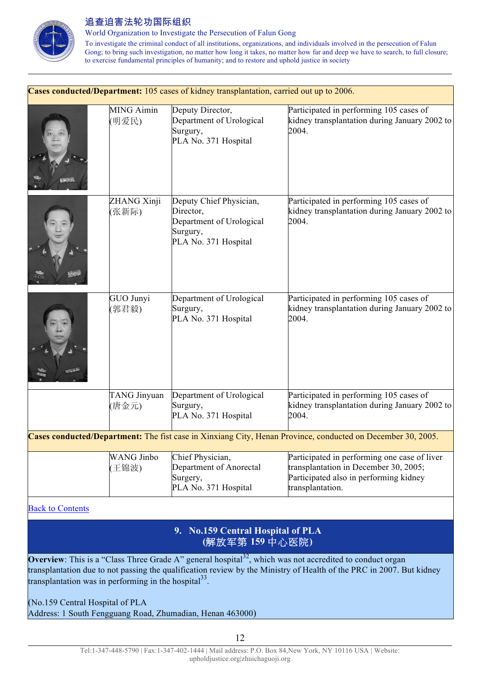

World Organization to Investigate the Persecution of Falun Gong

To investigate the criminal conduct of all institutions, organizations, and individuals involved in the persecution of Falun Gong; to bring such investigation, no matter how long it takes, no matter how far and deep we have to search, to full closure; to exercise fundamental principles of humanity; and to restore and uphold justice in society

|                         |                            | Cases conducted/Department: 105 cases of kidney transplantation, carried out up to 2006.             |                                                                                                                                                     |
|-------------------------|----------------------------|------------------------------------------------------------------------------------------------------|-----------------------------------------------------------------------------------------------------------------------------------------------------|
|                         | <b>MING Aimin</b><br>(明爱民) | Deputy Director,<br>Department of Urological<br>Surgury,<br>PLA No. 371 Hospital                     | Participated in performing 105 cases of<br>kidney transplantation during January 2002 to<br>2004.                                                   |
|                         | ZHANG Xinji<br>(张新际)       | Deputy Chief Physician,<br>Director,<br>Department of Urological<br>Surgury,<br>PLA No. 371 Hospital | Participated in performing 105 cases of<br>kidney transplantation during January 2002 to<br>2004.                                                   |
|                         | GUO Junyi<br>[郭君毅)         | Department of Urological<br>Surgury,<br>PLA No. 371 Hospital                                         | Participated in performing 105 cases of<br>kidney transplantation during January 2002 to<br>2004.                                                   |
|                         | TANG Jinyuan<br>(唐金元)      | Department of Urological<br>Surgury,<br>PLA No. 371 Hospital                                         | Participated in performing 105 cases of<br>kidney transplantation during January 2002 to<br>2004.                                                   |
|                         |                            |                                                                                                      | Cases conducted/Department: The fist case in Xinxiang City, Henan Province, conducted on December 30, 2005.                                         |
|                         | <b>WANG Jinbo</b><br>(王锦波) | Chief Physician,<br>Department of Anorectal<br>Surgery,<br>PLA No. 371 Hospital                      | Participated in performing one case of liver<br>transplantation in December 30, 2005;<br>Participated also in performing kidney<br>transplantation. |
| <b>Back to Contents</b> |                            |                                                                                                      |                                                                                                                                                     |
|                         |                            | 9. No.159 Central Hospital of PLA<br>(解放军第159中心医院)                                                   |                                                                                                                                                     |

**Overview**: This is a "Class Three Grade A" general hospital<sup>32</sup>, which was not accredited to conduct organ transplantation due to not passing the qualification review by the Ministry of Health of the PRC in 2007. But kidney transplantation was in performing in the hospital $^{33}$ .

(No.159 Central Hospital of PLA Address: 1 South Fengguang Road, Zhumadian, Henan 463000)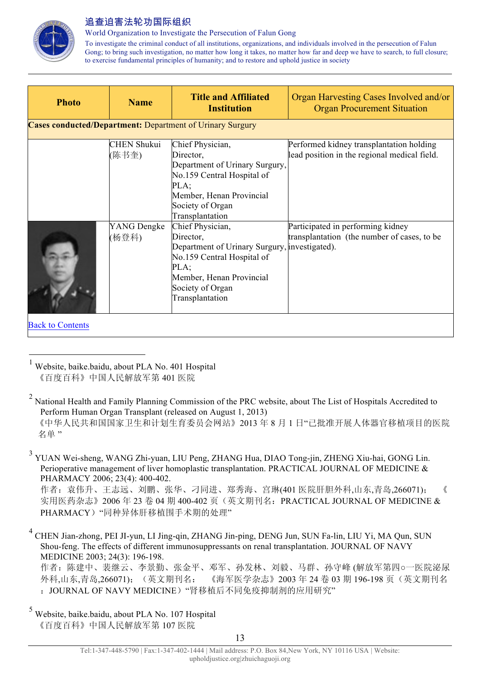

World Organization to Investigate the Persecution of Falun Gong

To investigate the criminal conduct of all institutions, organizations, and individuals involved in the persecution of Falun Gong; to bring such investigation, no matter how long it takes, no matter how far and deep we have to search, to full closure; to exercise fundamental principles of humanity; and to restore and uphold justice in society

| <b>Photo</b>            | <b>Name</b>                 | <b>Title and Affiliated</b><br><b>Institution</b>                                                                                                                                       | Organ Harvesting Cases Involved and/or<br><b>Organ Procurement Situation</b>             |
|-------------------------|-----------------------------|-----------------------------------------------------------------------------------------------------------------------------------------------------------------------------------------|------------------------------------------------------------------------------------------|
|                         |                             | <b>Cases conducted/Department: Department of Urinary Surgury</b>                                                                                                                        |                                                                                          |
|                         | <b>CHEN Shukui</b><br>(陈书奎) | Chief Physician,<br>Director,<br>Department of Urinary Surgury,<br>No.159 Central Hospital of<br>PLA;<br>Member, Henan Provincial<br>Society of Organ<br>Transplantation                | Performed kidney transplantation holding<br>lead position in the regional medical field. |
|                         | YANG Dengke<br>(杨登科)        | Chief Physician,<br>Director,<br>Department of Urinary Surgury, investigated).<br>No.159 Central Hospital of<br>PLA;<br>Member, Henan Provincial<br>Society of Organ<br>Transplantation | Participated in performing kidney<br>transplantation (the number of cases, to be         |
| <b>Back to Contents</b> |                             |                                                                                                                                                                                         |                                                                                          |

 <sup>1</sup> Website, baike.baidu, about PLA No. 401 Hospital 《百度百科》中国人民解放军第 401 医院

<sup>3</sup> YUAN Wei-sheng, WANG Zhi-yuan, LIU Peng, ZHANG Hua, DIAO Tong-jin, ZHENG Xiu-hai, GONG Lin. Perioperative management of liver homoplastic transplantation. PRACTICAL JOURNAL OF MEDICINE & PHARMACY 2006; 23(4): 400-402.

作者: 袁伟升、王志远、刘鹏、张华、刁同进、郑秀海、宫琳(401 医院肝胆外科,山东,青岛,266071); 《 实用医药杂志》2006年23卷 04 期 400-402 页(英文期刊名: PRACTICAL JOURNAL OF MEDICINE & PHARMACY)"同种异体肝移植围手术期的处理"

<sup>4</sup> CHEN Jian-zhong, PEI JI-yun, LI Jing-qin, ZHANG Jin-ping, DENG Jun, SUN Fa-lin, LIU Yi, MA Qun, SUN Shou-feng. The effects of different immunosuppressants on renal transplantation. JOURNAL OF NAVY MEDICINE 2003; 24(3): 196-198. 作者:陈建中、裴继云、李景勤、张金平、邓军、孙发林、刘毅、马群、孙守峰 (解放军第四○一医院泌尿 外科,山东,青岛,266071); (英文期刊名: 《海军医学杂志》2003年 24 卷 03 期 196-198 页 (英文期刊名 : JOURNAL OF NAVY MEDICINE) "肾移植后不同免疫抑制剂的应用研究"

<sup>5</sup> Website, baike.baidu, about PLA No. 107 Hospital 《百度百科》中国人民解放军第 107 医院

<sup>&</sup>lt;sup>2</sup> National Health and Family Planning Commission of the PRC website, about The List of Hospitals Accredited to Perform Human Organ Transplant (released on August 1, 2013) 《中华人民共和国国家卫生和计划生育委员会网站》2013 年 8 月 1 日"已批准开展人体器官移植项目的医院 名单"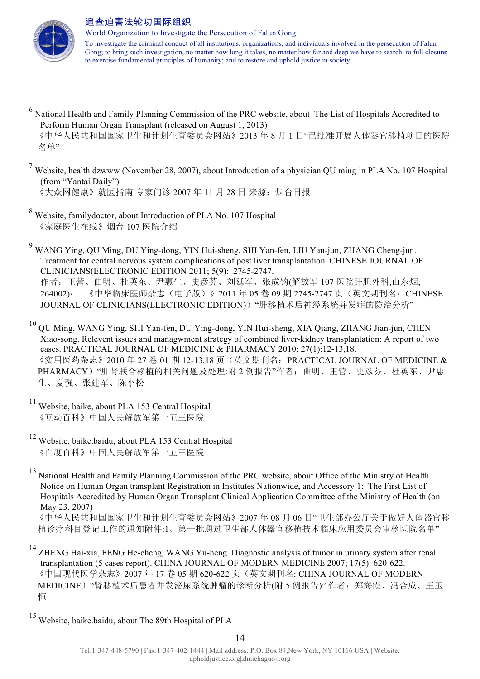

 $\overline{a}$ 

- <sup>6</sup> National Health and Family Planning Commission of the PRC website, about The List of Hospitals Accredited to Perform Human Organ Transplant (released on August 1, 2013) 《中华人民共和国国家卫生和计划生育委员会网站》2013 年 8 月 1 日"已批准开展人体器官移植项目的医院 名单"
- <sup>7</sup> Website, health.dzwww (November 28, 2007), about Introduction of a physician QU ming in PLA No. 107 Hospital (from "Yantai Daily") 《大众网健康》就医指南 专家门诊 2007年11月28日 来源: 烟台日报
- <sup>8</sup> Website, familydoctor, about Introduction of PLA No. 107 Hospital 《家庭医生在线》烟台 107 医院介绍

<sup>9</sup> WANG Ying, QU Ming, DU Ying-dong, YIN Hui-sheng, SHI Yan-fen, LIU Yan-jun, ZHANG Cheng-jun. Treatment for central nervous system complications of post liver transplantation. CHINESE JOURNAL OF CLINICIANS(ELECTRONIC EDITION 2011; 5(9): 2745-2747. 作者:王营、曲明、杜英东、尹惠生、史彦芬、刘延军、张成钧(解放军 107 医院肝胆外科,山东烟,

264002); 《中华临床医师杂志(电子版)》2011 年 05 卷 09 期 2745-2747 页(英文期刊名:CHINESE JOURNAL OF CLINICIANS(ELECTRONIC EDITION))"肝移植术后神经系统并发症的防治分析"

<sup>10</sup> QU Ming, WANG Ying, SHI Yan-fen, DU Ying-dong, YIN Hui-sheng, XIA Qiang, ZHANG Jian-jun, CHEN Xiao-song. Relevent issues and managwment strategy of combined liver-kidney transplantation: A report of two cases. PRACTICAL JOURNAL OF MEDICINE & PHARMACY 2010; 27(1):12-13,18. 《实用医药杂志》2010年 27卷 01 期 12-13,18 页(英文期刊名: PRACTICAL JOURNAL OF MEDICINE & PHARMACY)"肝肾联合移植的相关问题及处理:附 2 例报告"作者:曲明、王营、史彦芬、杜英东、尹惠 生、夏强、张建军、陈小松

- <sup>11</sup> Website, baike, about PLA 153 Central Hospital 《互动百科》中国人民解放军第一五三医院
- <sup>12</sup> Website, baike.baidu, about PLA 153 Central Hospital 《百度百科》中国人民解放军第一五三医院
- <sup>13</sup> National Health and Family Planning Commission of the PRC website, about Office of the Ministry of Health Notice on Human Organ transplant Registration in Institutes Nationwide, and Accessory 1: The First List of Hospitals Accredited by Human Organ Transplant Clinical Application Committee of the Ministry of Health (on May 23, 2007)

 《中华人民共和国国家卫生和计划生育委员会网站》2007 年 08 月 06 日"卫生部办公厅关于做好人体器官移 植诊疗科目登记工作的通知附件:1、第一批通过卫生部人体器官移植技术临床应用委员会审核医院名单"

- <sup>14</sup> ZHENG Hai-xia, FENG He-cheng, WANG Yu-heng. Diagnostic analysis of tumor in urinary system after renal transplantation (5 cases report). CHINA JOURNAL OF MODERN MEDICINE 2007; 17(5): 620-622. 《中国现代医学杂志》2007 年 17 卷 05 期 620-622 页(英文期刊名: CHINA JOURNAL OF MODERN MEDICINE)"肾移植术后患者并发泌尿系统肿瘤的诊断分析(附 5 例报告)" 作者:郑海霞、冯合成、王玉 恒
- <sup>15</sup> Website, baike.baidu, about The 89th Hospital of PLA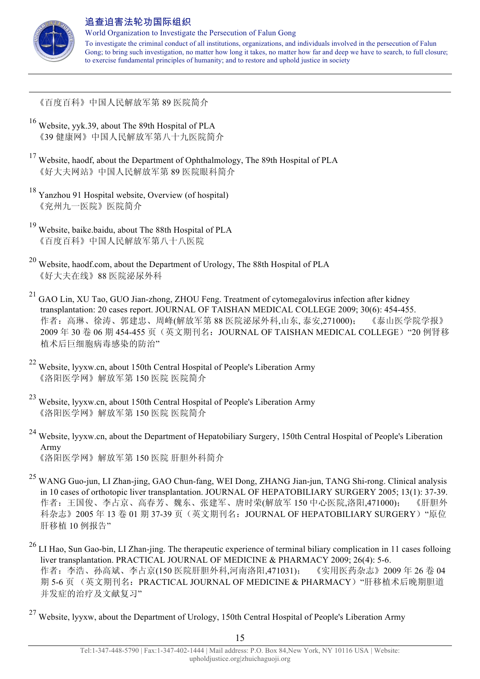

 $\overline{a}$ 

## 追查迫害法轮功国际组织

World Organization to Investigate the Persecution of Falun Gong To investigate the criminal conduct of all institutions, organizations, and individuals involved in the persecution of Falun Gong; to bring such investigation, no matter how long it takes, no matter how far and deep we have to search, to full closure; to exercise fundamental principles of humanity; and to restore and uphold justice in society

《百度百科》中国人民解放军第 89 医院简介

- <sup>16</sup> Website, yyk.39, about The 89th Hospital of PLA 《39 健康网》中国人民解放军第八十九医院简介
- <sup>17</sup> Website, haodf, about the Department of Ophthalmology, The 89th Hospital of PLA 《好大夫网站》中国人民解放军第 89 医院眼科简介
- <sup>18</sup> Yanzhou 91 Hospital website, Overview (of hospital) 《兖州九一医院》医院简介
- <sup>19</sup> Website, baike.baidu, about The 88th Hospital of PLA 《百度百科》中国人民解放军第八十八医院
- <sup>20</sup> Website, haodf.com, about the Department of Urology, The 88th Hospital of PLA 《好大夫在线》88 医院泌尿外科
- <sup>21</sup> GAO Lin, XU Tao, GUO Jian-zhong, ZHOU Feng. Treatment of cytomegalovirus infection after kidney transplantation: 20 cases report. JOURNAL OF TAISHAN MEDICAL COLLEGE 2009; 30(6): 454-455. 作者:高琳、徐涛、郭建忠、周峰(解放军第 88 医院泌尿外科,山东, 泰安,271000); 《泰山医学院学报》 2009 年 30 卷 06 期 454-455 页(英文期刊名:JOURNAL OF TAISHAN MEDICAL COLLEGE)"20 例肾移 植术后巨细胞病毒感染的防治"
- <sup>22</sup> Website, lyyxw.cn, about 150th Central Hospital of People's Liberation Army 《洛阳医学网》解放军第 150 医院 医院简介
- <sup>23</sup> Website, lyyxw.cn, about 150th Central Hospital of People's Liberation Army 《洛阳医学网》解放军第 150 医院 医院简介
- <sup>24</sup> Website, lyyxw.cn, about the Department of Hepatobiliary Surgery, 150th Central Hospital of People's Liberation Army 《洛阳医学网》解放军第 150 医院 肝胆外科简介
- <sup>25</sup> WANG Guo-jun, LI Zhan-jing, GAO Chun-fang, WEI Dong, ZHANG Jian-jun, TANG Shi-rong. Clinical analysis in 10 cases of orthotopic liver transplantation. JOURNAL OF HEPATOBILIARY SURGERY 2005; 13(1): 37-39. 作者:王国俊、李占京、高春芳、魏东、张建军、唐时荣(解放军 150 中心医院,洛阳,471000); 《肝胆外 科杂志》2005年13卷 01 期 37-39 页(英文期刊名: JOURNAL OF HEPATOBILIARY SURGERY) "原位 肝移植 10 例报告"
- <sup>26</sup> LI Hao, Sun Gao-bin, LI Zhan-jing. The therapeutic experience of terminal biliary complication in 11 cases folloing liver transplantation. PRACTICAL JOURNAL OF MEDICINE & PHARMACY 2009; 26(4): 5-6. 作者:李浩、孙高斌、李占京(150 医院肝胆外科,河南洛阳,471031); 《实用医药杂志》2009 年 26 卷 04 期 5-6 页 (英文期刊名: PRACTICAL JOURNAL OF MEDICINE & PHARMACY) "肝移植术后晚期胆道 并发症的治疗及文献复习"
- <sup>27</sup> Website, lyyxw, about the Department of Urology, 150th Central Hospital of People's Liberation Army